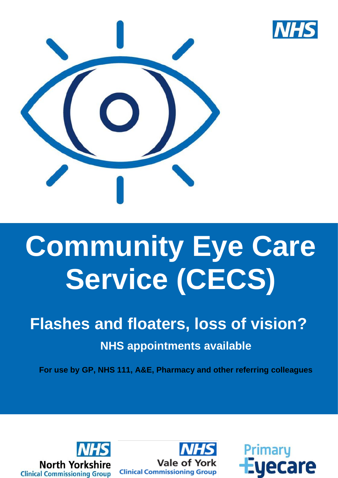

# **Community Eye Care Service (CECS)**

# **Flashes and floaters, loss of vision? NHS appointments available**

**For use by GP, NHS 111, A&E, Pharmacy and other referring colleagues**





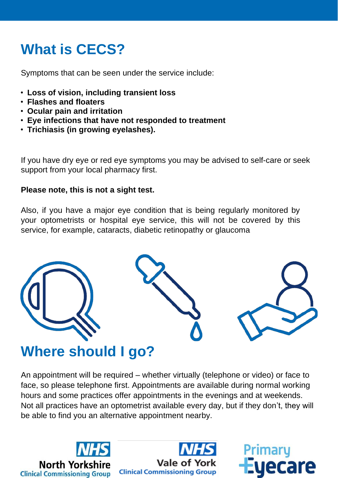## **What is CECS?**

Symptoms that can be seen under the service include:

- **Loss of vision, including transient loss**
- **Flashes and floaters**
- **Ocular pain and irritation**
- **Eye infections that have not responded to treatment**
- **Trichiasis (in growing eyelashes).**

If you have dry eye or red eye symptoms you may be advised to self-care or seek support from your local pharmacy first.

#### **Please note, this is not a sight test.**

Also, if you have a major eye condition that is being regularly monitored by your optometrists or hospital eye service, this will not be covered by this service, for example, cataracts, diabetic retinopathy or glaucoma



#### **Where should I go?**

An appointment will be required – whether virtually (telephone or video) or face to face, so please telephone first. Appointments are available during normal working hours and some practices offer appointments in the evenings and at weekends. Not all practices have an optometrist available every day, but if they don't, they will be able to find you an alternative appointment nearby.





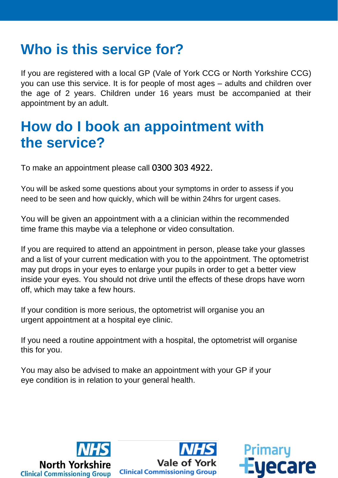### **Who is this service for?**

If you are registered with a local GP (Vale of York CCG or North Yorkshire CCG) you can use this service. It is for people of most ages – adults and children over the age of 2 years. Children under 16 years must be accompanied at their appointment by an adult.

#### **How do I book an appointment with the service?**

To make an appointment please call 0300 303 4922.

You will be asked some questions about your symptoms in order to assess if you need to be seen and how quickly, which will be within 24hrs for urgent cases.

You will be given an appointment with a a clinician within the recommended time frame this maybe via a telephone or video consultation.

If you are required to attend an appointment in person, please take your glasses and a list of your current medication with you to the appointment. The optometrist may put drops in your eyes to enlarge your pupils in order to get a better view inside your eyes. You should not drive until the effects of these drops have worn off, which may take a few hours.

If your condition is more serious, the optometrist will organise you an urgent appointment at a hospital eye clinic.

If you need a routine appointment with a hospital, the optometrist will organise this for you.

You may also be advised to make an appointment with your GP if your eye condition is in relation to your general health.